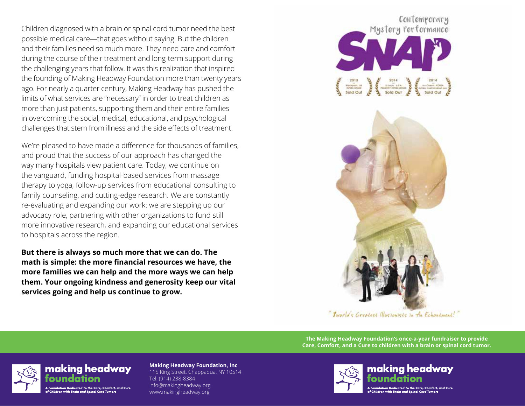Children diagnosed with a brain or spinal cord tumor need the best possible medical care—that goes without saying. But the children and their families need so much more. They need care and comfort during the course of their treatment and long-term support during the challenging years that follow. It was this realization that inspired the founding of Making Headway Foundation more than twenty years ago. For nearly a quarter century, Making Headway has pushed the limits of what services are "necessary" in order to treat children as more than just patients, supporting them and their entire families in overcoming the social, medical, educational, and psychological challenges that stem from illness and the side effects of treatment.

We're pleased to have made a difference for thousands of families, and proud that the success of our approach has changed the way many hospitals view patient care. Today, we continue on the vanguard, funding hospital-based services from massage therapy to yoga, follow-up services from educational consulting to family counseling, and cutting-edge research. We are constantly re-evaluating and expanding our work: we are stepping up our advocacy role, partnering with other organizations to fund still more innovative research, and expanding our educational services to hospitals across the region.

**But there is always so much more that we can do. The math is simple: the more financial resources we have, the more families we can help and the more ways we can help them. Your ongoing kindness and generosity keep our vital services going and help us continue to grow.**

Contemporary Mystery Performance  $\begin{array}{c}\n\cdot & 2014 \\
\hline\n\end{array}\n\qquad \qquad \begin{array}{c}\n\cdot & \cdot & \cdot \\
\cdot & \cdot & \cdot \\
\hline\n\end{array}\n\qquad \qquad \begin{array}{c}\n\cdot & \cdot & \cdot \\
\cdot & \cdot & \cdot \\
\hline\n\end{array}\n\qquad \qquad \begin{array}{c}\n\cdot & \cdot & \cdot \\
\cdot & \cdot & \cdot \\
\hline\n\end{array}\n\qquad \qquad \begin{array}{c}\n\cdot & \cdot & \cdot \\
\cdot & \cdot & \cdot \\
\hline\n\end{array}\n\qquad \qquad \begin{array}{c}\n\cdot & \cdot & \cdot \\
\cdot$ 



"Iworld's Greatest Illusionists in the Echantment!"

**The Making Headway Foundation's once-a-year fundraiser to provide Care, Comfort, and a Cure to children with a brain or spinal cord tumor.**



making headway n Dedicated to the Care, Comfort, and Cur f Children with Brain and Spinal Cord Tumor

**Making Headway Foundation, Inc** 115 King Street, Chappaqua, NY 10514 Tel: (914) 238-8384 info@makingheadway.org www.makingheadway.org





f Children with Brain and Spinal Cord Tumi